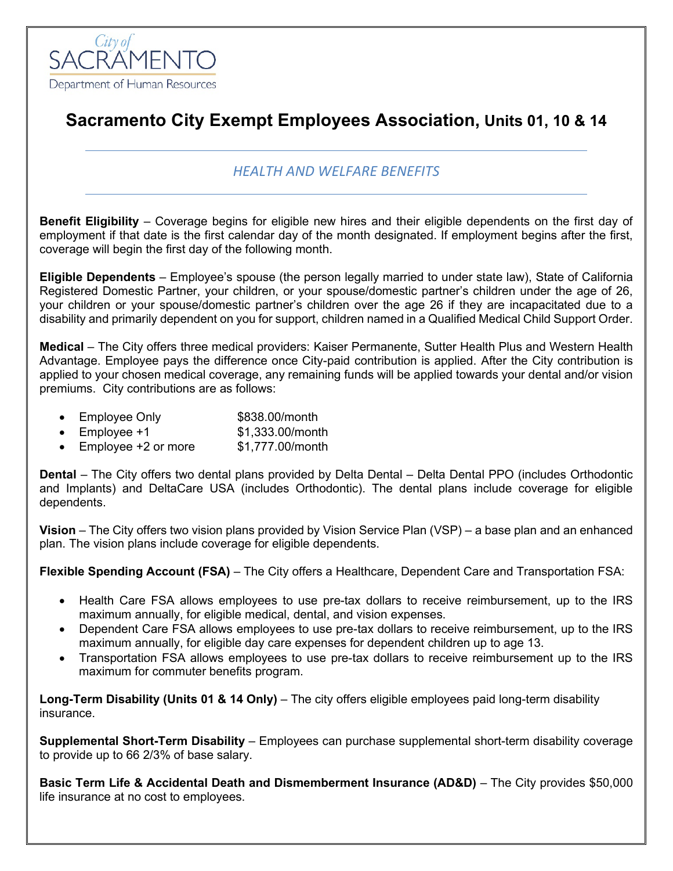

## **Sacramento City Exempt Employees Association, Units 01, 10 & 14**

## *HEALTH AND WELFARE BENEFITS*

**Benefit Eligibility** – Coverage begins for eligible new hires and their eligible dependents on the first day of employment if that date is the first calendar day of the month designated. If employment begins after the first, coverage will begin the first day of the following month.

**Eligible Dependents** – Employee's spouse (the person legally married to under state law), State of California Registered Domestic Partner, your children, or your spouse/domestic partner's children under the age of 26, your children or your spouse/domestic partner's children over the age 26 if they are incapacitated due to a disability and primarily dependent on you for support, children named in a Qualified Medical Child Support Order.

**Medical** – The City offers three medical providers: Kaiser Permanente, Sutter Health Plus and Western Health Advantage. Employee pays the difference once City-paid contribution is applied. After the City contribution is applied to your chosen medical coverage, any remaining funds will be applied towards your dental and/or vision premiums. City contributions are as follows:

- Employee Only \$838.00/month
- Employee  $+1$  \$1,333.00/month
- Employee +2 or more \$1,777.00/month

**Dental** – The City offers two dental plans provided by Delta Dental – Delta Dental PPO (includes Orthodontic and Implants) and DeltaCare USA (includes Orthodontic). The dental plans include coverage for eligible dependents.

**Vision** – The City offers two vision plans provided by Vision Service Plan (VSP) – a base plan and an enhanced plan. The vision plans include coverage for eligible dependents.

**Flexible Spending Account (FSA)** – The City offers a Healthcare, Dependent Care and Transportation FSA:

- Health Care FSA allows employees to use pre-tax dollars to receive reimbursement, up to the IRS maximum annually, for eligible medical, dental, and vision expenses.
- Dependent Care FSA allows employees to use pre-tax dollars to receive reimbursement, up to the IRS maximum annually, for eligible day care expenses for dependent children up to age 13.
- Transportation FSA allows employees to use pre-tax dollars to receive reimbursement up to the IRS maximum for commuter benefits program.

**Long-Term Disability (Units 01 & 14 Only)** – The city offers eligible employees paid long-term disability insurance.

**Supplemental Short-Term Disability** – Employees can purchase supplemental short-term disability coverage to provide up to 66 2/3% of base salary.

**Basic Term Life & Accidental Death and Dismemberment Insurance (AD&D)** – The City provides \$50,000 life insurance at no cost to employees.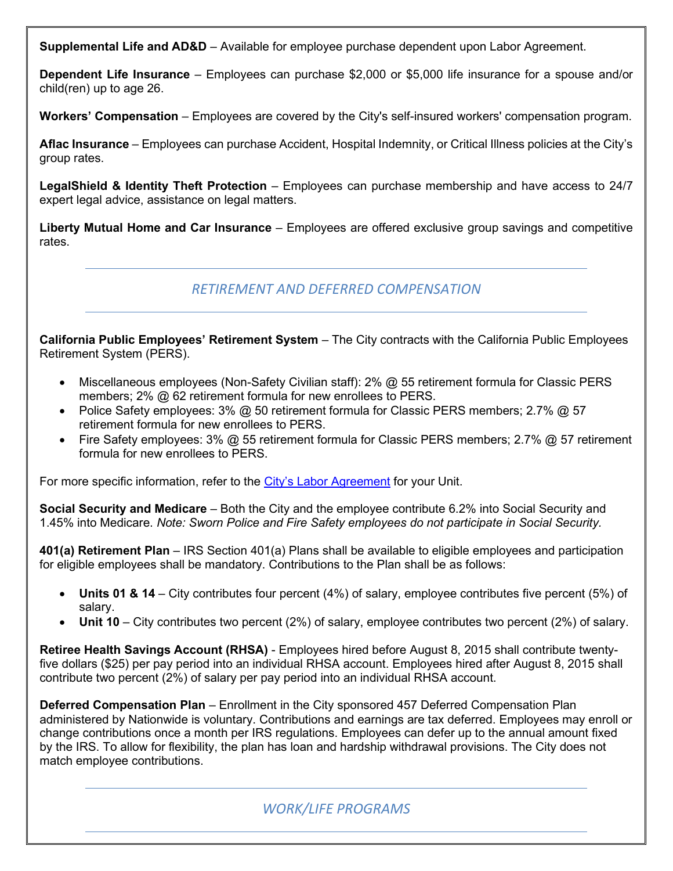**Supplemental Life and AD&D** – Available for employee purchase dependent upon Labor Agreement.

**Dependent Life Insurance** – Employees can purchase \$2,000 or \$5,000 life insurance for a spouse and/or child(ren) up to age 26.

**Workers' Compensation** – Employees are covered by the City's self-insured workers' compensation program.

**Aflac Insurance** – Employees can purchase Accident, Hospital Indemnity, or Critical Illness policies at the City's group rates.

**LegalShield & Identity Theft Protection** – Employees can purchase membership and have access to 24/7 expert legal advice, assistance on legal matters.

**Liberty Mutual Home and Car Insurance** – Employees are offered exclusive group savings and competitive rates.

*RETIREMENT AND DEFERRED COMPENSATION*

**California Public Employees' Retirement System** – The City contracts with the California Public Employees Retirement System (PERS).

- Miscellaneous employees (Non-Safety Civilian staff): 2% @ 55 retirement formula for Classic PERS members; 2% @ 62 retirement formula for new enrollees to PERS.
- Police Safety employees: 3% @ 50 retirement formula for Classic PERS members; 2.7% @ 57 retirement formula for new enrollees to PERS.
- Fire Safety employees: 3% @ 55 retirement formula for Classic PERS members; 2.7% @ 57 retirement formula for new enrollees to PERS.

For more specific information, refer to the [City's Labor Agreement](http://www.cityofsacramento.org/HR/Divisions/Labor-Relations/Labor-Agreements) for your Unit.

**Social Security and Medicare** – Both the City and the employee contribute 6.2% into Social Security and 1.45% into Medicare. *Note: Sworn Police and Fire Safety employees do not participate in Social Security.*

**401(a) Retirement Plan** – IRS Section 401(a) Plans shall be available to eligible employees and participation for eligible employees shall be mandatory. Contributions to the Plan shall be as follows:

- **Units 01 & 14** City contributes four percent (4%) of salary, employee contributes five percent (5%) of salary.
- **Unit 10** City contributes two percent (2%) of salary, employee contributes two percent (2%) of salary.

**Retiree Health Savings Account (RHSA)** - Employees hired before August 8, 2015 shall contribute twentyfive dollars (\$25) per pay period into an individual RHSA account. Employees hired after August 8, 2015 shall contribute two percent (2%) of salary per pay period into an individual RHSA account.

**Deferred Compensation Plan** – Enrollment in the City sponsored 457 Deferred Compensation Plan administered by Nationwide is voluntary. Contributions and earnings are tax deferred. Employees may enroll or change contributions once a month per IRS regulations. Employees can defer up to the annual amount fixed by the IRS. To allow for flexibility, the plan has loan and hardship withdrawal provisions. The City does not match employee contributions.

## *WORK/LIFE PROGRAMS*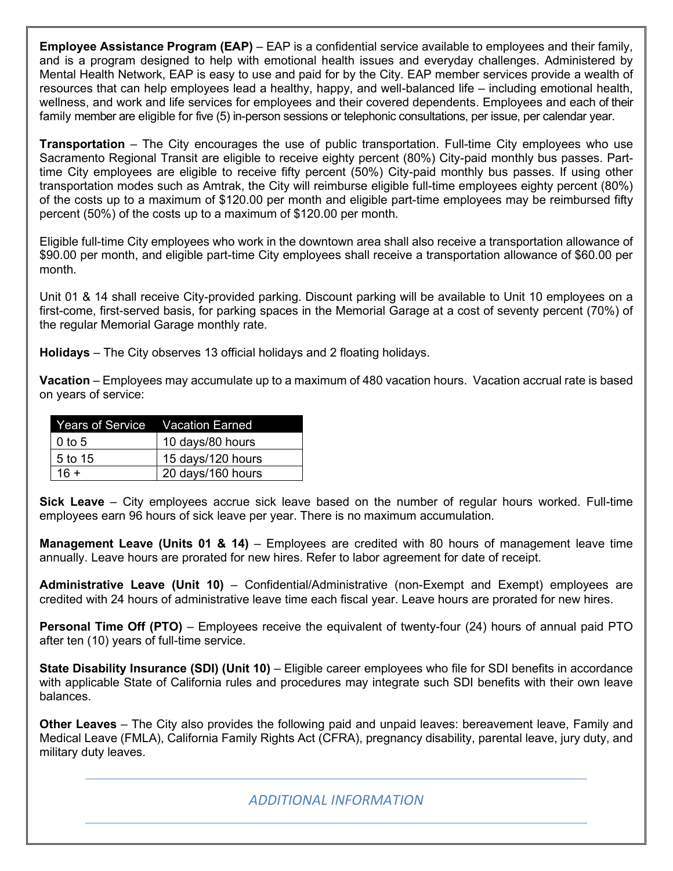**Employee Assistance Program (EAP)** – EAP is a confidential service available to employees and their family, and is a program designed to help with emotional health issues and everyday challenges. Administered by Mental Health Network, EAP is easy to use and paid for by the City. EAP member services provide a wealth of resources that can help employees lead a healthy, happy, and well-balanced life – including emotional health, wellness, and work and life services for employees and their covered dependents. Employees and each of their family member are eligible for five (5) in-person sessions or telephonic consultations, per issue, per calendar year.

**Transportation** – The City encourages the use of public transportation. Full-time City employees who use Sacramento Regional Transit are eligible to receive eighty percent (80%) City-paid monthly bus passes. Parttime City employees are eligible to receive fifty percent (50%) City-paid monthly bus passes. If using other transportation modes such as Amtrak, the City will reimburse eligible full-time employees eighty percent (80%) of the costs up to a maximum of \$120.00 per month and eligible part-time employees may be reimbursed fifty percent (50%) of the costs up to a maximum of \$120.00 per month.

Eligible full-time City employees who work in the downtown area shall also receive a transportation allowance of \$90.00 per month, and eligible part-time City employees shall receive a transportation allowance of \$60.00 per month.

Unit 01 & 14 shall receive City-provided parking. Discount parking will be available to Unit 10 employees on a first-come, first-served basis, for parking spaces in the Memorial Garage at a cost of seventy percent (70%) of the regular Memorial Garage monthly rate.

**Holidays** – The City observes 13 official holidays and 2 floating holidays.

**Vacation** – Employees may accumulate up to a maximum of 480 vacation hours. Vacation accrual rate is based on years of service:

|           | Years of Service  Vacation Earned |
|-----------|-----------------------------------|
| $0$ to 5  | 10 days/80 hours                  |
| 1.5 to 15 | 15 days/120 hours                 |
| $16 +$    | 20 days/160 hours                 |

**Sick Leave** – City employees accrue sick leave based on the number of regular hours worked. Full-time employees earn 96 hours of sick leave per year. There is no maximum accumulation.

**Management Leave (Units 01 & 14)** – Employees are credited with 80 hours of management leave time annually. Leave hours are prorated for new hires. Refer to labor agreement for date of receipt.

**Administrative Leave (Unit 10)** – Confidential/Administrative (non-Exempt and Exempt) employees are credited with 24 hours of administrative leave time each fiscal year. Leave hours are prorated for new hires.

**Personal Time Off (PTO)** – Employees receive the equivalent of twenty-four (24) hours of annual paid PTO after ten (10) years of full-time service.

**State Disability Insurance (SDI) (Unit 10)** – Eligible career employees who file for SDI benefits in accordance with applicable State of California rules and procedures may integrate such SDI benefits with their own leave balances.

**Other Leaves** – The City also provides the following paid and unpaid leaves: bereavement leave, Family and Medical Leave (FMLA), California Family Rights Act (CFRA), pregnancy disability, parental leave, jury duty, and military duty leaves.

## *ADDITIONAL INFORMATION*